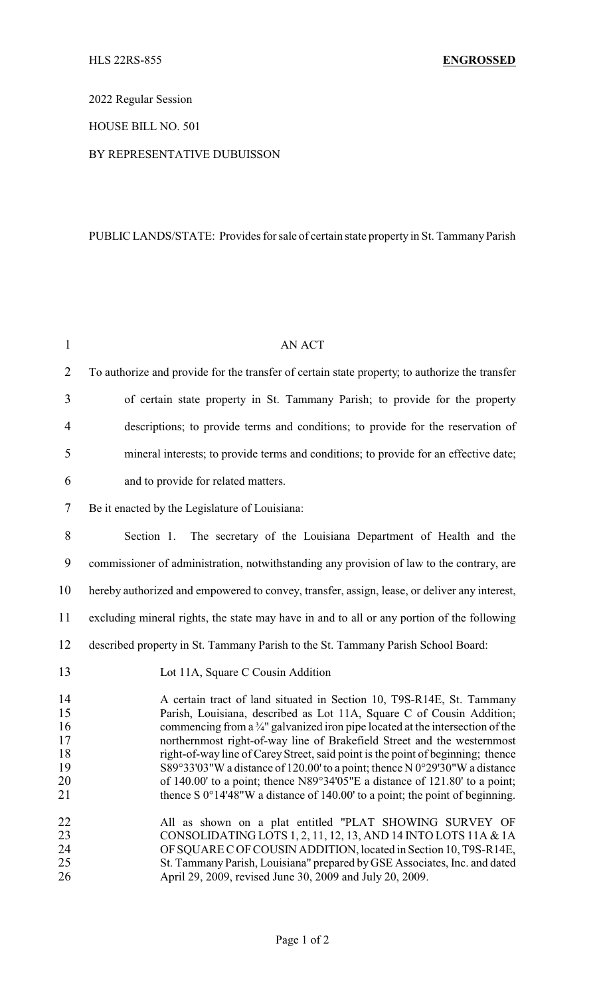2022 Regular Session

HOUSE BILL NO. 501

## BY REPRESENTATIVE DUBUISSON

## PUBLIC LANDS/STATE: Provides for sale of certain state property in St. Tammany Parish

| $\mathbf{1}$                                 | <b>AN ACT</b>                                                                                                                                                                                                                                                                                                                                                                                                                                                                                                                                                                                                                                                               |
|----------------------------------------------|-----------------------------------------------------------------------------------------------------------------------------------------------------------------------------------------------------------------------------------------------------------------------------------------------------------------------------------------------------------------------------------------------------------------------------------------------------------------------------------------------------------------------------------------------------------------------------------------------------------------------------------------------------------------------------|
| $\overline{2}$                               | To authorize and provide for the transfer of certain state property; to authorize the transfer                                                                                                                                                                                                                                                                                                                                                                                                                                                                                                                                                                              |
| 3                                            | of certain state property in St. Tammany Parish; to provide for the property                                                                                                                                                                                                                                                                                                                                                                                                                                                                                                                                                                                                |
| $\overline{4}$                               | descriptions; to provide terms and conditions; to provide for the reservation of                                                                                                                                                                                                                                                                                                                                                                                                                                                                                                                                                                                            |
| 5                                            | mineral interests; to provide terms and conditions; to provide for an effective date;                                                                                                                                                                                                                                                                                                                                                                                                                                                                                                                                                                                       |
| 6                                            | and to provide for related matters.                                                                                                                                                                                                                                                                                                                                                                                                                                                                                                                                                                                                                                         |
| 7                                            | Be it enacted by the Legislature of Louisiana:                                                                                                                                                                                                                                                                                                                                                                                                                                                                                                                                                                                                                              |
| 8                                            | Section 1. The secretary of the Louisiana Department of Health and the                                                                                                                                                                                                                                                                                                                                                                                                                                                                                                                                                                                                      |
| 9                                            | commissioner of administration, notwithstanding any provision of law to the contrary, are                                                                                                                                                                                                                                                                                                                                                                                                                                                                                                                                                                                   |
| 10                                           | hereby authorized and empowered to convey, transfer, assign, lease, or deliver any interest,                                                                                                                                                                                                                                                                                                                                                                                                                                                                                                                                                                                |
| 11                                           | excluding mineral rights, the state may have in and to all or any portion of the following                                                                                                                                                                                                                                                                                                                                                                                                                                                                                                                                                                                  |
| 12                                           | described property in St. Tammany Parish to the St. Tammany Parish School Board:                                                                                                                                                                                                                                                                                                                                                                                                                                                                                                                                                                                            |
| 13                                           | Lot 11A, Square C Cousin Addition                                                                                                                                                                                                                                                                                                                                                                                                                                                                                                                                                                                                                                           |
| 14<br>15<br>16<br>17<br>18<br>19<br>20<br>21 | A certain tract of land situated in Section 10, T9S-R14E, St. Tammany<br>Parish, Louisiana, described as Lot 11A, Square C of Cousin Addition;<br>commencing from a $\frac{3}{4}$ " galvanized iron pipe located at the intersection of the<br>northernmost right-of-way line of Brakefield Street and the westernmost<br>right-of-way line of Carey Street, said point is the point of beginning; thence<br>S89°33'03"W a distance of 120.00' to a point; thence N 0°29'30"W a distance<br>of 140.00' to a point; thence $N89^{\circ}34'05''E$ a distance of 121.80' to a point;<br>thence S $0^{\circ}14'48''W$ a distance of 140.00' to a point; the point of beginning. |
| 22<br>23<br>24<br>25<br>26                   | All as shown on a plat entitled "PLAT SHOWING SURVEY OF<br>CONSOLIDATING LOTS 1, 2, 11, 12, 13, AND 14 INTO LOTS 11A & 1A<br>OF SQUARE C OF COUSIN ADDITION, located in Section 10, T9S-R14E,<br>St. Tammany Parish, Louisiana" prepared by GSE Associates, Inc. and dated<br>April 29, 2009, revised June 30, 2009 and July 20, 2009.                                                                                                                                                                                                                                                                                                                                      |